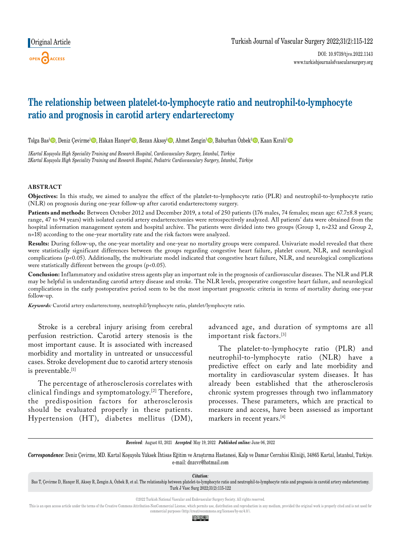# **The relationship between platelet-to-lymphocyte ratio and neutrophil-to-lymphocyte ratio and prognosis in carotid artery endarterectomy**

Tolga Bas<sup>ı</sup>©, Deniz Çevirme<sup>1</sup>©, Hakan Hançer<sup>ı</sup>©, Rezan Aksoy<sup>ı</sup>©, Ahmet Zengin<sup>ı</sup>©, Baburhan Özbek<sup>2</sup>©, Kaan Kırali<sup>ı</sup>©

*1Kartal Koşuyolu High Speciality Training and Research Hospital, Cardiovasculary Surgery, İstanbul, Türkiye 2Kartal Koşuyolu High Speciality Training and Research Hospital, Pediatric Cardiovasculary Surgery, İstanbul, Türkiye*

#### **ABSTRACT**

**Objectives:** In this study, we aimed to analyze the effect of the platelet-to-lymphocyte ratio (PLR) and neutrophil-to-lymphocyte ratio (NLR) on prognosis during one-year follow-up after carotid endarterectomy surgery.

Patients and methods: Between October 2012 and December 2019, a total of 250 patients (176 males, 74 females; mean age: 67.7±8.8 years; range, 47 to 94 years) with isolated carotid artery endarterectomies were retrospectively analyzed. All patients' data were obtained from the hospital information management system and hospital archive. The patients were divided into two groups (Group 1, n=232 and Group 2, n=18) according to the one-year mortality rate and the risk factors were analyzed.

**Results:** During follow-up, the one-year mortality and one-year no mortality groups were compared. Univariate model revealed that there were statistically significant differences between the groups regarding congestive heart failure, platelet count, NLR, and neurological complications (p<0.05). Additionally, the multivariate model indicated that congestive heart failure, NLR, and neurological complications were statistically different between the groups (p<0.05).

**Conclusion:** Inflammatory and oxidative stress agents play an important role in the prognosis of cardiovascular diseases. The NLR and PLR may be helpful in understanding carotid artery disease and stroke. The NLR levels, preoperative congestive heart failure, and neurological complications in the early postoperative period seem to be the most important prognostic criteria in terms of mortality during one-year follow-up.

*Keywords:* Carotid artery endarterectomy, neutrophil/lymphocyte ratio, platelet/lymphocyte ratio.

Stroke is a cerebral injury arising from cerebral perfusion restriction. Carotid artery stenosis is the most important cause. It is associated with increased morbidity and mortality in untreated or unsuccessful cases. Stroke development due to carotid artery stenosis is preventable.<sup>[1]</sup>

The percentage of atherosclerosis correlates with clinical findings and symptomatology.[2] Therefore, the predisposition factors for atherosclerosis should be evaluated properly in these patients. Hypertension (HT), diabetes mellitus (DM),

advanced age, and duration of symptoms are all important risk factors.[3]

The platelet-to-lymphocyte ratio (PLR) and neutrophil-to-lymphocyte ratio (NLR) have a predictive effect on early and late morbidity and mortality in cardiovascular system diseases. It has already been established that the atherosclerosis chronic system progresses through two inflammatory processes. These parameters, which are practical to measure and access, have been assessed as important markers in recent years.[4]

*Received:* August 03, 2021 *Accepted:* May 19, 2022 *Published online:* June 06, 2022

*Correspondence:* Deniz Çevirme, MD. Kartal Koşuyolu Yüksek İhtisas Eğitim ve Araştırma Hastanesi, Kalp ve Damar Cerrahisi Kliniği, 34865 Kartal, İstanbul, Türkiye. e-mail: dnzcvr@hotmail.com

*Citation:*

Bas T, Çevirme D, Hançer H, Aksoy R, Zengin A, Özbek B, et al. The relationship between platelet-to-lymphocyte ratio and neutrophil-to-lymphocyte ratio and prognosis in carotid artery endarterectomy. Turk J Vasc Surg 2022;31(2):115-122

©2022 Turkish National Vascular and Endovascular Surgery Society. All rights reserved.

This is an open access article under the terms of the Creative Commons Attribution-NonCommercial License, which permits use, distribution and reproduction in any medium, provided the original work is properly cited and is commercial purposes (http://creativecommons.org/licenses/by-nc/4.0/).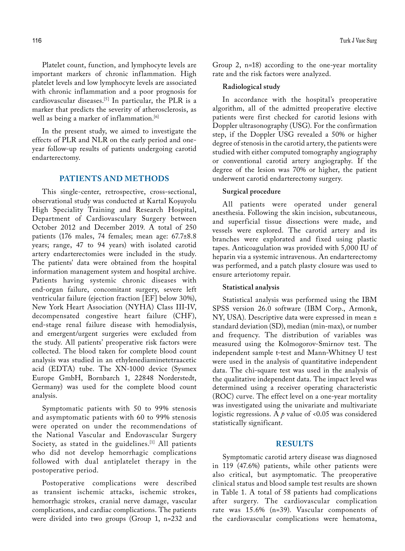Platelet count, function, and lymphocyte levels are important markers of chronic inflammation. High platelet levels and low lymphocyte levels are associated with chronic inflammation and a poor prognosis for cardiovascular diseases.[5] In particular, the PLR is a marker that predicts the severity of atherosclerosis, as well as being a marker of inflammation.<sup>[6]</sup>

In the present study, we aimed to investigate the effects of PLR and NLR on the early period and oneyear follow-up results of patients undergoing carotid endarterectomy.

## **PATIENTS AND METHODS**

This single-center, retrospective, cross-sectional, observational study was conducted at Kartal Koşuyolu High Speciality Training and Research Hospital, Department of Cardiovasculary Surgery between October 2012 and December 2019. A total of 250 patients (176 males, 74 females; mean age: 67.7±8.8 years; range, 47 to 94 years) with isolated carotid artery endarterectomies were included in the study. The patients' data were obtained from the hospital information management system and hospital archive. Patients having systemic chronic diseases with end-organ failure, concomitant surgery, severe left ventricular failure (ejection fraction [EF] below 30%), New York Heart Association (NYHA) Class III-IV, decompensated congestive heart failure (CHF), end-stage renal failure disease with hemodialysis, and emergent/urgent surgeries were excluded from the study. All patients' preoperative risk factors were collected. The blood taken for complete blood count analysis was studied in an ethylenediaminetetraacetic acid (EDTA) tube. The XN-1000 device (Sysmex Europe GmbH, Bornbarch 1, 22848 Norderstedt, Germany) was used for the complete blood count analysis.

Symptomatic patients with 50 to 99% stenosis and asymptomatic patients with 60 to 99% stenosis were operated on under the recommendations of the National Vascular and Endovascular Surgery Society, as stated in the guidelines.<sup>[1]</sup> All patients who did not develop hemorrhagic complications followed with dual antiplatelet therapy in the postoperative period.

Postoperative complications were described as transient ischemic attacks, ischemic strokes, hemorrhagic strokes, cranial nerve damage, vascular complications, and cardiac complications. The patients were divided into two groups (Group 1, n=232 and

Group 2, n=18) according to the one-year mortality rate and the risk factors were analyzed.

### **Radiological study**

In accordance with the hospital's preoperative algorithm, all of the admitted preoperative elective patients were first checked for carotid lesions with Doppler ultrasonography (USG). For the confirmation step, if the Doppler USG revealed a 50% or higher degree of stenosis in the carotid artery, the patients were studied with either computed tomography angiography or conventional carotid artery angiography. If the degree of the lesion was 70% or higher, the patient underwent carotid endarterectomy surgery.

#### **Surgical procedure**

All patients were operated under general anesthesia. Following the skin incision, subcutaneous, and superficial tissue dissections were made, and vessels were explored. The carotid artery and its branches were explorated and fixed using plastic tapes. Anticoagulation was provided with 5,000 IU of heparin via a systemic intravenous. An endarterectomy was performed, and a patch plasty closure was used to ensure arteriotomy repair.

#### **Statistical analysis**

Statistical analysis was performed using the IBM SPSS version 26.0 software (IBM Corp., Armonk, NY, USA). Descriptive data were expressed in mean ± standard deviation (SD), median (min-max), or number and frequency. The distribution of variables was measured using the Kolmogorov-Smirnov test. The independent sample t-test and Mann-Whitney U test were used in the analysis of quantitative independent data. The chi-square test was used in the analysis of the qualitative independent data. The impact level was determined using a receiver operating characteristic (ROC) curve. The effect level on a one-year mortality was investigated using the univariate and multivariate logistic regressions. A  $p$  value of <0.05 was considered statistically significant.

## **RESULTS**

Symptomatic carotid artery disease was diagnosed in 119 (47.6%) patients, while other patients were also critical, but asymptomatic. The preoperative clinical status and blood sample test results are shown in Table 1. A total of 58 patients had complications after surgery. The cardiovascular complication rate was 15.6% (n=39). Vascular components of the cardiovascular complications were hematoma,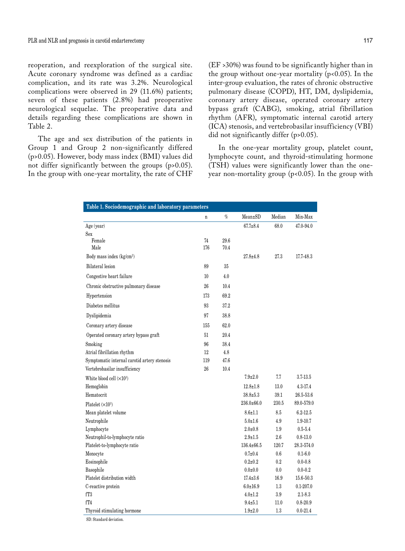reoperation, and reexploration of the surgical site. Acute coronary syndrome was defined as a cardiac complication, and its rate was 3.2%. Neurological complications were observed in 29 (11.6%) patients; seven of these patients (2.8%) had preoperative neurological sequelae. The preoperative data and details regarding these complications are shown in Table 2.

The age and sex distribution of the patients in Group 1 and Group 2 non-significantly differed (p>0.05). However, body mass index (BMI) values did not differ significantly between the groups (p>0.05). In the group with one-year mortality, the rate of CHF (EF >30%) was found to be significantly higher than in the group without one-year mortality  $(p<0.05)$ . In the inter-group evaluation, the rates of chronic obstructive pulmonary disease (COPD), HT, DM, dyslipidemia, coronary artery disease, operated coronary artery bypass graft (CABG), smoking, atrial fibrillation rhythm (AFR), symptomatic internal carotid artery (ICA) stenosis, and vertebrobasilar insufficiency (VBI) did not significantly differ (p>0.05).

In the one-year mortality group, platelet count, lymphocyte count, and thyroid-stimulating hormone (TSH) values were significantly lower than the oneyear non-mortality group ( $p<0.05$ ). In the group with

| Table 1. Sociodemographic and laboratory parameters |             |      |                  |         |               |  |  |  |  |
|-----------------------------------------------------|-------------|------|------------------|---------|---------------|--|--|--|--|
|                                                     | $\mathbf n$ | $\%$ | Mean±SD          | Median  | Min-Max       |  |  |  |  |
| Age (year)                                          |             |      | $67.7 \pm 8.4$   | 68.0    | $47.0 - 94.0$ |  |  |  |  |
| Sex                                                 |             |      |                  |         |               |  |  |  |  |
| Female                                              | 74          | 29.6 |                  |         |               |  |  |  |  |
| Male                                                | 176         | 70.4 |                  |         |               |  |  |  |  |
| Body mass index (kg/cm <sup>2</sup> )               |             |      | $27.8 + 4.8$     | 27.3    | 17.7-48.3     |  |  |  |  |
| <b>Bilateral</b> lesion                             | 89          | 35   |                  |         |               |  |  |  |  |
| Congestive heart failure                            | 10          | 4.0  |                  |         |               |  |  |  |  |
| Chronic obstructive pulmonary disease               | 26          | 10.4 |                  |         |               |  |  |  |  |
| Hypertension                                        | 173         | 69.2 |                  |         |               |  |  |  |  |
| Diabetes mellitus                                   | 93          | 37.2 |                  |         |               |  |  |  |  |
| Dyslipidemia                                        | 97          | 38.8 |                  |         |               |  |  |  |  |
| Coronary artery disease                             | 155         | 62.0 |                  |         |               |  |  |  |  |
| Operated coronary artery bypass graft               | 51          | 20.4 |                  |         |               |  |  |  |  |
| Smoking                                             | 96          | 38.4 |                  |         |               |  |  |  |  |
| Atrial fibrillation rhythm                          | 12          | 4.8  |                  |         |               |  |  |  |  |
| Symptomatic internal carotid artery stenosis        | 119         | 47.6 |                  |         |               |  |  |  |  |
| Vertebrobasilar insufficiency                       | 26          | 10.4 |                  |         |               |  |  |  |  |
| White blood cell $(\times 10^3)$                    |             |      | $7.9 \pm 2.0$    | 7.7     | 3.7-13.5      |  |  |  |  |
| Hemoglobin                                          |             |      | $12.8 \pm 1.8$   | 13.0    | 4.3-17.4      |  |  |  |  |
| Hematocrit                                          |             |      | $38.8 + 5.3$     | 39.1    | 26.5-53.6     |  |  |  |  |
| Platelet $(\times 10^3)$                            |             |      | $236.0 \pm 66.0$ | 230.5   | 89.0-579.0    |  |  |  |  |
| Mean platelet volume                                |             |      | $8.6 \pm 1.1$    | 8.5     | 6.2-12.5      |  |  |  |  |
| Neutrophile                                         |             |      | $5.0 + 1.6$      | 4.9     | 1.9-10.7      |  |  |  |  |
| Lymphocyte                                          |             |      | $2.0 \pm 0.8$    | 1.9     | $0.5 - 5.4$   |  |  |  |  |
| Neutrophil-to-lymphocyte ratio                      |             |      | $2.9 + 1.5$      | $2.6\,$ | $0.8 - 13.0$  |  |  |  |  |
| Platelet-to-lymphocyte ratio                        |             |      | 136.4±66.5       | 120.7   | 28.3-574.0    |  |  |  |  |
| Monocyte                                            |             |      | $0.7 \pm 0.4$    | 0.6     | $0.1 - 6.0$   |  |  |  |  |
| Eosinophile                                         |             |      | $0.2 + 0.2$      | 0.2     | $0.0 - 0.8$   |  |  |  |  |
| Basophile                                           |             |      | $0.0 + 0.0$      | 0.0     | $0.0 - 0.2$   |  |  |  |  |
| Platelet distribution width                         |             |      | $17.4 \pm 3.6$   | 16.9    | 15.6-50.3     |  |  |  |  |
| C-reactive protein                                  |             |      | $6.0 \pm 16.9$   | $1.3\,$ | $0.1 - 207.0$ |  |  |  |  |
| fT3                                                 |             |      | $4.0 \pm 1.2$    | 3.9     | $2.1 - 8.3$   |  |  |  |  |
| fT <sub>4</sub>                                     |             |      | $9.4 \pm 5.1$    | 11.0    | $0.8 - 20.9$  |  |  |  |  |
| Thyroid stimulating hormone                         |             |      | $1.9 + 2.0$      | $1.3\,$ | $0.0 - 21.4$  |  |  |  |  |
| SD: Standard deviation.                             |             |      |                  |         |               |  |  |  |  |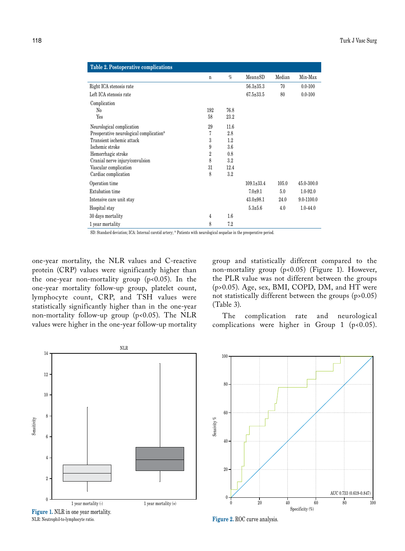| Table 2. Postoperative complications    |                |         |                 |        |                |
|-----------------------------------------|----------------|---------|-----------------|--------|----------------|
|                                         | n              | $\%$    | $Mean \pm SD$   | Median | Min-Max        |
| Right ICA stenosis rate                 |                |         | $56.3 \pm 35.3$ | 70     | $0.0 - 100$    |
| Left ICA stenosis rate                  |                |         | $67.5 \pm 33.5$ | 80     | $0.0 - 100$    |
| Complication                            |                |         |                 |        |                |
| $\rm N_0$                               | 192            | 76.8    |                 |        |                |
| Yes                                     | 58             | 23.2    |                 |        |                |
| Neurological complication               | 29             | 11.6    |                 |        |                |
| Preoperative neurological complication* | 7              | 2.8     |                 |        |                |
| Transient ischemic attack               | 3              | 1.2     |                 |        |                |
| Ischemic stroke                         | 9              | 3.6     |                 |        |                |
| Hemorrhagic stroke                      | $\overline{2}$ | 0.8     |                 |        |                |
| Cranial nerve injury/convulsion         | 8              | $3.2\,$ |                 |        |                |
| Vascular complication                   | 31             | 12.4    |                 |        |                |
| Cardiac complication                    | 8              | $3.2\,$ |                 |        |                |
| Operation time                          |                |         | $109.1 + 33.4$  | 105.0  | $45.0 - 300.0$ |
| Extubation time                         |                |         | $7.0 \pm 9.1$   | 5.0    | $1.0 - 92.0$   |
| Intensive care unit stay                |                |         | $43.0 \pm 98.1$ | 24.0   | 9.0-1100.0     |
| Hospital stay                           |                |         | $5.3 + 5.6$     | 4.0    | $1.0 - 44.0$   |
| 30 days mortality                       | $\overline{4}$ | 1.6     |                 |        |                |
| 1 year mortality                        | 8              | 7.2     |                 |        |                |

SD: Standard deviation; ICA: Internal carotid artery; \* Patients with neurological sequelae in the preoperative period.

one-year mortality, the NLR values and C-reactive protein (CRP) values were significantly higher than the one-year non-mortality group (p<0.05). In the one-year mortality follow-up group, platelet count, lymphocyte count, CRP, and TSH values were statistically significantly higher than in the one-year non-mortality follow-up group (p<0.05). The NLR values were higher in the one-year follow-up mortality group and statistically different compared to the non-mortality group (p<0.05) (Figure 1). However, the PLR value was not different between the groups (p>0.05). Age, sex, BMI, COPD, DM, and HT were not statistically different between the groups (p>0.05) (Table 3).

The complication rate and neurological complications were higher in Group 1 ( $p < 0.05$ ).





**Figure 2.** ROC curve analysis.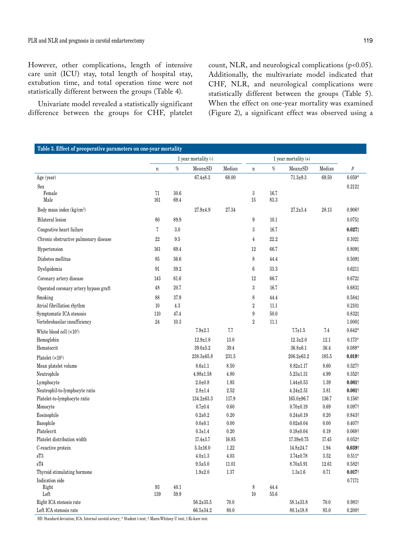However, other complications, length of intensive care unit (ICU) stay, total length of hospital stay, extubation time, and total operation time were not statistically different between the groups (Table 4).

Univariate model revealed a statistically significant difference between the groups for CHF, platelet count, NLR, and neurological complications (p<0.05). Additionally, the multivariate model indicated that CHF, NLR, and neurological complications were statistically different between the groups (Table 5). When the effect on one-year mortality was examined (Figure 2), a significant effect was observed using a

| Table 3. Effect of preoperative parameters on one-year mortality |                          |                      |                  |          |                        |                    |                  |          |                          |
|------------------------------------------------------------------|--------------------------|----------------------|------------------|----------|------------------------|--------------------|------------------|----------|--------------------------|
|                                                                  |                          | 1 year mortality (-) |                  |          | 1 year mortality $(+)$ |                    |                  |          |                          |
|                                                                  | $\mathbf n$              | $\%$                 | Mean±SD          | Median   | $\mathbf n$            | $\%$               | Mean±SD          | Median   | $\boldsymbol{p}$         |
| Age (year)                                                       |                          |                      | $67.4 \pm 8.3$   | 68.00    |                        |                    | $71.3 + 9.3$     | 69.50    | $0.059*$                 |
| Sex                                                              |                          |                      |                  |          |                        |                    |                  |          | $0.212\dagger$           |
| Female<br>Male                                                   | 71<br>161                | 30.6<br>69.4         |                  |          | $\sqrt{3}$<br>15       | 16.7<br>$83.3\,$   |                  |          |                          |
| Body mass index (kg/cm <sup>2</sup> )                            |                          |                      | $27.9 + 4.9$     | 27.34    |                        |                    | $27.2 \pm 3.4$   | 28.13    | $0.906\dagger$           |
| Bilateral lesion                                                 | 80                       | 89.9                 |                  |          | 9                      | 10.1               |                  |          | $0.075$ ‡                |
| Congestive heart failure                                         | 7                        | 3.0                  |                  |          | 3                      | 16.7               |                  |          | 0.027                    |
| Chronic obstructive pulmonary disease                            | 22                       | $9.5\,$              |                  |          | $\overline{4}$         | 22.2               |                  |          | $0.102\dagger$           |
| Hypertension                                                     | 161                      | 69.4                 |                  |          | 12                     | 66.7               |                  |          | 0.809                    |
| Diabetes mellitus                                                | 85                       | 36.6                 |                  |          | 8                      | 44.4               |                  |          | 0.509                    |
| Dyslipidemia                                                     | 91                       | 39.2                 |                  |          | $6\phantom{.0}$        | 33.3               |                  |          | $0.621$ ‡                |
| Coronary artery disease                                          | 143                      | 61.6                 |                  |          | 12                     | 66.7               |                  |          | $0.672$ ‡                |
| Operated coronary artery bypass graft                            | 48                       | 20.7                 |                  |          | $\sqrt{3}$             | 16.7               |                  |          | $0.683\dagger$           |
| Smoking                                                          | 88                       | 37.9                 |                  |          | 8                      | 44.4               |                  |          | $0.584\dagger$           |
| Atrial fibrillation rhythm                                       | 10                       | 4.3                  |                  |          | $\overline{2}$         | 11.1               |                  |          | 0.2101                   |
| Symptomatic ICA stenosis                                         | 110                      | 47.4                 |                  |          | 9                      | $50.0\,$           |                  |          | $0.832\dagger$           |
| Vertebrobasilar insufficiency                                    | 24                       | 10.3                 |                  |          | $\overline{2}$         | 11.1               |                  |          | $1.000$ ‡                |
| White blood cell $(\times 10^3)$                                 |                          |                      | $7.9 \pm 2.1$    | 7.7      |                        |                    | $7.7 \pm 1.5$    | $7.4\,$  | $0.642*$                 |
| Hemoglobin                                                       |                          |                      | $12.9 \pm 1.8$   | 13.0     |                        |                    | $12.3 \pm 2.0$   | 12.1     | $0.173*$                 |
| Hematocrit                                                       |                          |                      | $39.0 + 5.2$     | 39.4     |                        |                    | $36.8 + 6.1$     | 36.4     | $0.089*$                 |
| Platelet $(\times 10^3)$                                         |                          |                      | $238.3 \pm 65.8$ | 231.5    |                        |                    | $206.2 \pm 63.2$ | 185.5    | $0.019\dagger$           |
| Mean platelet volume                                             |                          |                      | $8.6 \pm 1.1$    | $8.50\,$ |                        |                    | $8.82{\pm}1.17$  | 8.60     | $0.527\dagger$           |
| Neutrophile                                                      |                          |                      | $4.98 \pm 1.58$  | 4.80     |                        |                    | $5.23 \pm 1.31$  | 4.99     | $0.352\dagger$           |
| Lymphocyte                                                       |                          |                      | $2.0 \pm 0.8$    | 1.93     |                        |                    | $1.44 \pm 0.53$  | 1.39     | $0.001\dagger$           |
| Neutrophil-to-lymphocyte ratio                                   |                          |                      | $2.8 \pm 1.4$    | 2.52     |                        |                    | $4.24 \pm 2.51$  | 3.81     | $0.001\dagger$           |
| Platelet-to-lymphocyte ratio                                     |                          |                      | $134.2 \pm 63.3$ | 117.9    |                        |                    | $165.0{\pm}96.7$ | 136.7    | $0.156\dagger$           |
| Monocyte                                                         |                          |                      | $0.7 + 0.4$      | $0.60\,$ |                        |                    | $0.70 \pm 0.19$  | 0.69     | $0.097\dagger$           |
| Eosinophile                                                      |                          |                      | $0.2 \pm 0.2$    | 0.20     |                        |                    | $0.24 \pm 0.19$  | 0.20     | $0.843\dagger$           |
| Basophile                                                        |                          |                      | $0.0 + 0.1$      | $0.00\,$ |                        |                    | $0.02 \pm 0.04$  | 0.00     | $0.407\dagger$           |
| Platelecrit                                                      |                          |                      | $0.3 + 1.4$      | $0.20\,$ |                        |                    | $0.18 \pm 0.04$  | 0.19     | $0.068\dagger$           |
| Platelet distribution width                                      |                          |                      | $17.4 \pm 3.7$   | 16.85    |                        |                    | $17.39 \pm 0.75$ | 17.45    | $0.052\dagger$           |
| C-reactive protein                                               |                          |                      | $5.3 + 16.0$     | 1.22     |                        |                    | $14.8 \pm 24.7$  | 1.94     | $0.039\dagger$           |
| sT3                                                              |                          |                      | $4.0 \pm 1.3$    | 4.03     |                        |                    | $3.74 \pm 0.78$  | 3.52     | $0.511*$                 |
| $\ensuremath{\mathrm{sT4}}$                                      |                          |                      | $9.5 + 5.0$      | 11.01    |                        |                    | $8.70{\pm}5.91$  | 12.61    | $0.582\ensuremath{\dag}$ |
| Thyroid stimulating hormone                                      |                          |                      | $1.9 \pm 2.0$    | $1.37\,$ |                        |                    | $1.3 \pm 1.6$    | $0.71\,$ | $0.017\dagger$           |
| Indication side                                                  |                          |                      |                  |          |                        |                    |                  |          | $0.717\dagger$           |
| Right<br>Left                                                    | $\boldsymbol{93}$<br>139 | 40.1<br>59.9         |                  |          | $\, 8$<br>$10\,$       | $\bf 44.4$<br>55.6 |                  |          |                          |
|                                                                  |                          |                      |                  |          |                        |                    |                  |          |                          |
| Right ICA stenosis rate                                          |                          |                      | $56.2 \pm 35.5$  | 70.0     |                        |                    | $58.1 \pm 33.8$  | 70.0     | $0.981\dagger$           |
| Left ICA stenosis rate                                           |                          |                      | $66.5{\pm}34.2$  | $80.0\,$ |                        |                    | $80.1 \pm 18.8$  | 85.0     | $0.200\dagger$           |

SD: Standard deviation; ICA: Internal carotid artery; \* Student t-test; † Mann-Whitney U test; ‡ Ki-kare test.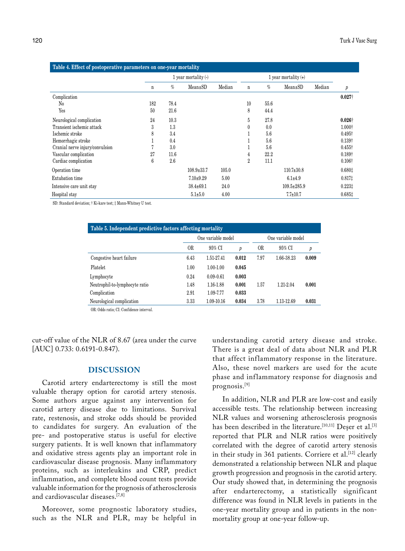| Table 4. Effect of postoperative parameters on one-year mortality |                      |      |                  |        |                |      |                   |        |                    |
|-------------------------------------------------------------------|----------------------|------|------------------|--------|----------------|------|-------------------|--------|--------------------|
|                                                                   | 1 year mortality (-) |      |                  |        |                |      |                   |        |                    |
|                                                                   | n                    | $\%$ | $Mean \pm SD$    | Median | n              | $\%$ | $Mean \pm SD$     | Median | p                  |
| Complication                                                      |                      |      |                  |        |                |      |                   |        | $0.027\dagger$     |
| No                                                                | 182                  | 78.4 |                  |        | 10             | 55.6 |                   |        |                    |
| Yes                                                               | 50                   | 21.6 |                  |        | 8              | 44.4 |                   |        |                    |
| Neurological complication                                         | 24                   | 10.3 |                  |        | 5              | 27.8 |                   |        | $0.026\dagger$     |
| Transient ischemic attack                                         | 3                    | 1.3  |                  |        | 0              | 0.0  |                   |        | 1.000 <sup>†</sup> |
| Ischemic stroke                                                   | 8                    | 3.4  |                  |        |                | 5.6  |                   |        | $0.495\dagger$     |
| Hemorrhagic stroke                                                |                      | 0.4  |                  |        |                | 5.6  |                   |        | $0.139\dagger$     |
| Cranial nerve injury/convulsion                                   | 7                    | 3.0  |                  |        |                | 5.6  |                   |        | $0.455\dagger$     |
| Vascular complication                                             | 27                   | 11.6 |                  |        | 4              | 22.2 |                   |        | $0.189\dagger$     |
| Cardiac complication                                              | 6                    | 2.6  |                  |        | $\overline{2}$ | 11.1 |                   |        | $0.106\dagger$     |
| Operation time                                                    |                      |      | $108.9 \pm 33.7$ | 105.0  |                |      | $110.7 \pm 30.8$  |        | $0.680 \ddagger$   |
| Extubation time                                                   |                      |      | $7.10 \pm 9.29$  | 5.00   |                |      | $6.1 \pm 4.9$     |        | 0.817              |
| Intensive care unit stay                                          |                      |      | $38.4 \pm 69.1$  | 24.0   |                |      | $109.5 \pm 285.9$ |        | 0.2231             |
| Hospital stay                                                     |                      |      | $5.1 \pm 5.0$    | 4.00   |                |      | $7.7 \pm 10.7$    |        | 0.6851             |

SD: Standard deviation; † Ki-kare test; ‡ Mann-Whitney U test.

| Table 5. Independent predictive factors affecting mortality |                    |               |       |      |                    |       |  |  |  |
|-------------------------------------------------------------|--------------------|---------------|-------|------|--------------------|-------|--|--|--|
|                                                             | One variable model |               |       |      | One variable model |       |  |  |  |
|                                                             | <b>OR</b>          | 95% CI        | р     | 0R   | 95% CI             | p     |  |  |  |
| Congestive heart failure                                    | 6.43               | 1.51-27.41    | 0.012 | 7.97 | 1.66-38.23         | 0.009 |  |  |  |
| Platelet                                                    | 1.00               | $1.00 - 1.00$ | 0.045 |      |                    |       |  |  |  |
| Lymphocyte                                                  | 0.24               | $0.09 - 0.61$ | 0.003 |      |                    |       |  |  |  |
| Neutrophil-to-lymphocyte ratio                              | 1.48               | 1.16-1.88     | 0.001 | 1.57 | 1.21-2.04          | 0.001 |  |  |  |
| Complication                                                | 2.91               | 1.09-7.77     | 0.033 |      |                    |       |  |  |  |
| Neurological complication                                   | 3.33               | 1.09-10.16    | 0.034 | 3.78 | 1.13-12.69         | 0.031 |  |  |  |

OR: Odds ratio; CI: Confidence interval.

cut-off value of the NLR of 8.67 (area under the curve [AUC] 0.733: 0.6191-0.847).

## **DISCUSSION**

Carotid artery endarterectomy is still the most valuable therapy option for carotid artery stenosis. Some authors argue against any intervention for carotid artery disease due to limitations. Survival rate, restenosis, and stroke odds should be provided to candidates for surgery. An evaluation of the pre- and postoperative status is useful for elective surgery patients. It is well known that inflammatory and oxidative stress agents play an important role in cardiovascular disease prognosis. Many inflammatory proteins, such as interleukins and CRP, predict inflammation, and complete blood count tests provide valuable information for the prognosis of atherosclerosis and cardiovascular diseases.[7,8]

Moreover, some prognostic laboratory studies, such as the NLR and PLR, may be helpful in understanding carotid artery disease and stroke. There is a great deal of data about NLR and PLR that affect inflammatory response in the literature. Also, these novel markers are used for the acute phase and inflammatory response for diagnosis and prognosis.[9]

In addition, NLR and PLR are low-cost and easily accessible tests. The relationship between increasing NLR values and worsening atherosclerosis prognosis has been described in the literature.<sup>[10,11]</sup> Deşer et al.<sup>[3]</sup> reported that PLR and NLR ratios were positively correlated with the degree of carotid artery stenosis in their study in 361 patients. Corriere et al.<sup>[12]</sup> clearly demonstrated a relationship between NLR and plaque growth progression and prognosis in the carotid artery. Our study showed that, in determining the prognosis after endarterectomy, a statistically significant difference was found in NLR levels in patients in the one-year mortality group and in patients in the nonmortality group at one-year follow-up.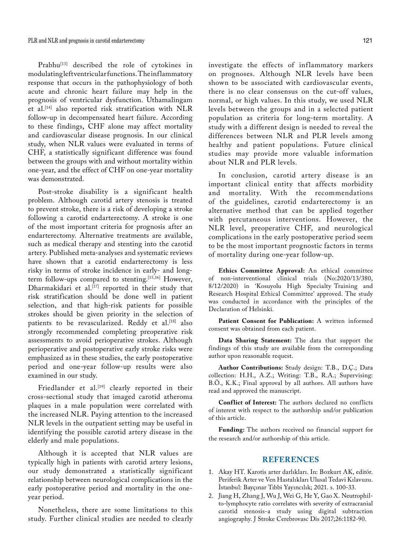Prabhu<sup>[13]</sup> described the role of cytokines in modulating left ventricular functions. The inflammatory response that occurs in the pathophysiology of both acute and chronic heart failure may help in the prognosis of ventricular dysfunction. Uthamalingam et al.[14] also reported risk stratification with NLR follow-up in decompensated heart failure. According to these findings, CHF alone may affect mortality and cardiovascular disease prognosis. In our clinical study, when NLR values were evaluated in terms of CHF, a statistically significant difference was found between the groups with and without mortality within one-year, and the effect of CHF on one-year mortality was demonstrated.

Post-stroke disability is a significant health problem. Although carotid artery stenosis is treated to prevent stroke, there is a risk of developing a stroke following a carotid endarterectomy. A stroke is one of the most important criteria for prognosis after an endarterectomy. Alternative treatments are available, such as medical therapy and stenting into the carotid artery. Published meta-analyses and systematic reviews have shown that a carotid endarterectomy is less risky in terms of stroke incidence in early- and longterm follow-ups compared to stenting.[15,16] However, Dharmakidari et al.<sup>[17]</sup> reported in their study that risk stratification should be done well in patient selection, and that high-risk patients for possible strokes should be given priority in the selection of patients to be revascularized. Reddy et al.<sup>[18]</sup> also strongly recommended completing preoperative risk assessments to avoid perioperative strokes. Although perioperative and postoperative early stroke risks were emphasized as in these studies, the early postoperative period and one-year follow-up results were also examined in our study.

Friedlander et al.<sup>[19]</sup> clearly reported in their cross-sectional study that imaged carotid atheroma plaques in a male population were correlated with the increased NLR. Paying attention to the increased NLR levels in the outpatient setting may be useful in identifying the possible carotid artery disease in the elderly and male populations.

Although it is accepted that NLR values are typically high in patients with carotid artery lesions, our study demonstrated a statistically significant relationship between neurological complications in the early postoperative period and mortality in the oneyear period.

Nonetheless, there are some limitations to this study. Further clinical studies are needed to clearly investigate the effects of inflammatory markers on prognoses. Although NLR levels have been shown to be associated with cardiovascular events, there is no clear consensus on the cut-off values, normal, or high values. In this study, we used NLR levels between the groups and in a selected patient population as criteria for long-term mortality. A study with a different design is needed to reveal the differences between NLR and PLR levels among healthy and patient populations. Future clinical studies may provide more valuable information about NLR and PLR levels.

In conclusion, carotid artery disease is an important clinical entity that affects morbidity and mortality. With the recommendations of the guidelines, carotid endarterectomy is an alternative method that can be applied together with percutaneous interventions. However, the NLR level, preoperative CHF, and neurological complications in the early postoperative period seem to be the most important prognostic factors in terms of mortality during one-year follow-up.

**Ethics Committee Approval:** An ethical committee of non-interventional clinical trials (No:2020/13/380, 8/12/2020) in 'Kosuyolu High Specialty Training and Research Hospital Ethical Committee' approved. The study was conducted in accordance with the principles of the Declaration of Helsinki.

Patient Consent for Publication: A written informed consent was obtained from each patient.

**Data Sharing Statement:** The data that support the findings of this study are available from the corresponding author upon reasonable request.

**Author Contributions:** Study design: T.B., D.Ç.; Data collection: H.H., A.Z.; Writing: T.B., R.A.; Supervising: B.Ö., K.K.; Final approval by all authors. All authors have read and approved the manuscript.

**Conflict of Interest:** The authors declared no conflicts of interest with respect to the authorship and/or publication of this article.

**Funding:** The authors received no financial support for the research and/or authorship of this article.

## **REFERENCES**

- 1. Akay HT. Karotis arter darlıkları. In: Bozkurt AK, editör. Periferik Arter ve Ven Hastalıkları Ulusal Tedavi Kılavuzu. İstanbul: Bayçınar Tıbbi Yayıncılık; 2021. s. 100-33.
- 2. Jiang H, Zhang J, Wu J, Wei G, He Y, Gao X. Neutrophilto-lymphocyte ratio correlates with severity of extracranial carotid stenosis-a study using digital subtraction angiography. J Stroke Cerebrovasc Dis 2017;26:1182-90.